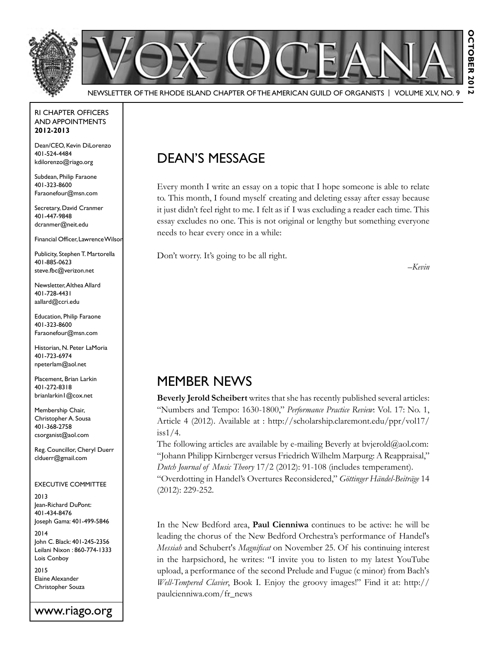

#### RI Chapter Officers and Appointments **2012-2013**

Dean/CEO, Kevin DiLorenzo 401-524-4484 kdilorenzo@riago.org

Subdean, Philip Faraone 401-323-8600 Faraonefour@msn.com

Secretary, David Cranmer 401-447-9848 dcranmer@neit.edu

Financial Officer, Lawrence Wilson

Publicity, Stephen T. Martorella 401-885-0623 steve.fbc@verizon.net

Newsletter, Althea Allard 401-728-4431 aallard@ccri.edu

Education, Philip Faraone 401-323-8600 Faraonefour@msn.com

Historian, N. Peter LaMoria 401-723-6974 npeterlam@aol.net

Placement, Brian Larkin 401-272-8318 brianlarkin1@cox.net

Membership Chair, Christopher A. Sousa 401-368-2758 csorganist@aol.com

Reg. Councillor, Cheryl Duerr clduerr@gmail.com

#### Executive Committee

2013 Jean-Richard DuPont: 401-434-8476 Joseph Gama: 401-499-5846

2014 John C. Black: 401-245-2356 Leilani Nixon : 860-774-1333 Lois Conboy

2015 Elaine Alexander Christopher Souza

#### www.riago.org

# Dean's Message

Every month I write an essay on a topic that I hope someone is able to relate to. This month, I found myself creating and deleting essay after essay because it just didn't feel right to me. I felt as if I was excluding a reader each time. This essay excludes no one. This is not original or lengthy but something everyone needs to hear every once in a while:

Don't worry. It's going to be all right.

*–Kevin*

### MEMBER NEWS

**Beverly Jerold Scheibert** writes that she has recently published several articles: "Numbers and Tempo: 1630-1800," *Performance Practice Review*: Vol. 17: No. 1, Article 4 (2012). Available at : http://scholarship.claremont.edu/ppr/vol17/ iss1/4.

The following articles are available by e-mailing Beverly at bvjerold@aol.com: "Johann Philipp Kirnberger versus Friedrich Wilhelm Marpurg: A Reappraisal," *Dutch Journal of Music Theory* 17/2 (2012): 91-108 (includes temperament). "Overdotting in Handel's Overtures Reconsidered," *Göttinger Händel-Beiträge* 14 (2012): 229-252.

In the New Bedford area, **Paul Cienniwa** continues to be active: he will be leading the chorus of the New Bedford Orchestra's performance of Handel's *Messiah* and Schubert's *Magnificat* on November 25. Of his continuing interest in the harpsichord, he writes: "I invite you to listen to my latest YouTube upload, a performance of the second Prelude and Fugue (c minor) from Bach's *Well-Tempered Clavier*, Book I. Enjoy the groovy images!" Find it at: http:// paulcienniwa.com/fr\_news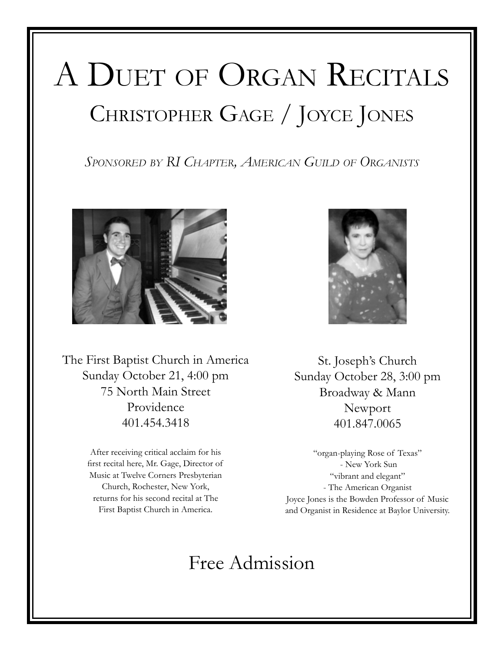# A DUET OF ORGAN RECITALS CHRISTOPHER GAGE / JOYCE JONES

*Sponsored by RI Chapter, American Guild of Organists*



The First Baptist Church in America Sunday October 21, 4:00 pm 75 North Main Street Providence 401.454.3418

> After receiving critical acclaim for his first recital here, Mr. Gage, Director of Music at Twelve Corners Presbyterian Church, Rochester, New York, returns for his second recital at The First Baptist Church in America.



St. Joseph's Church Sunday October 28, 3:00 pm Broadway & Mann Newport 401.847.0065

"organ-playing Rose of Texas" - New York Sun "vibrant and elegant" - The American Organist Joyce Jones is the Bowden Professor of Music and Organist in Residence at Baylor University.

# Free Admission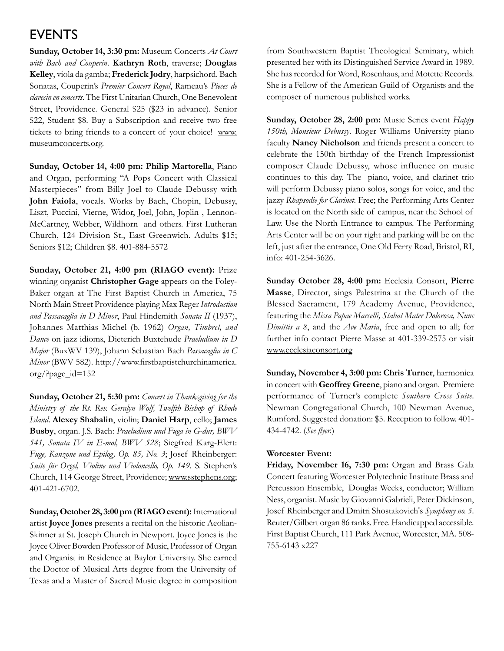# **EVENTS**

**Sunday, October 14, 3:30 pm:** Museum Concerts *At Court with Bach and Couperin*. **Kathryn Roth**, traverse; **Douglas Kelley**, viola da gamba; **Frederick Jodry**, harpsichord. Bach Sonatas, Couperin's *Premier Concert Royal*, Rameau's *Pieces de clavecin en concerts*. The First Unitarian Church, One Benevolent Street, Providence. General \$25 (\$23 in advance). Senior \$22, Student \$8. Buy a Subscription and receive two free tickets to bring friends to a concert of your choice! www. museumconcerts.org.

**Sunday, October 14, 4:00 pm: Philip Martorella**, Piano and Organ, performing "A Pops Concert with Classical Masterpieces" from Billy Joel to Claude Debussy with **John Faiola**, vocals. Works by Bach, Chopin, Debussy, Liszt, Puccini, Vierne, Widor, Joel, John, Joplin , Lennon-McCartney, Webber, Wildhorn and others. First Lutheran Church, 124 Division St., East Greenwich. Adults \$15; Seniors \$12; Children \$8. 401-884-5572

**Sunday, October 21, 4:00 pm (RIAGO event):** Prize winning organist **Christopher Gage** appears on the Foley-Baker organ at The First Baptist Church in America, 75 North Main Street Providence playing Max Reger *Introduction and Passacaglia in D Minor*, Paul Hindemith *Sonata II* (1937), Johannes Matthias Michel (b. 1962) *Organ, Timbrel, and Dance* on jazz idioms, Dieterich Buxtehude *Praeludium in D Major* (BuxWV 139), Johann Sebastian Bach *Passacaglia in C Minor* (BWV 582). http://www.firstbaptistchurchinamerica. org/?page\_id=152

**Sunday, October 21, 5:30 pm:** *Concert in Thanksgiving for the Ministry of the Rt. Rev. Geralyn Wolf, Twelfth Bishop of Rhode Island*. **Alexey Shabalin**, violin; **Daniel Harp**, cello; **James Busby**, organ. J.S. Bach: *Praeludium und Fuga in G-dur, BWV 541, Sonata IV in E-mol, BWV 528*; Siegfred Karg-Elert: *Fuge, Kanzone und Epilog, Op. 85, No. 3*; Josef Rheinberger: *Suite für Orgel, Violine und Violoncello, Op. 149*. S. Stephen's Church, 114 George Street, Providence; www.sstephens.org; 401-421-6702.

**Sunday, October 28, 3:00 pm (RIAGO event):** International artist **Joyce Jones** presents a recital on the historic Aeolian-Skinner at St. Joseph Church in Newport. Joyce Jones is the Joyce Oliver Bowden Professor of Music, Professor of Organ and Organist in Residence at Baylor University. She earned the Doctor of Musical Arts degree from the University of Texas and a Master of Sacred Music degree in composition from Southwestern Baptist Theological Seminary, which presented her with its Distinguished Service Award in 1989. She has recorded for Word, Rosenhaus, and Motette Records. She is a Fellow of the American Guild of Organists and the composer of numerous published works.

**Sunday, October 28, 2:00 pm:** Music Series event *Happy 150th, Monsieur Debussy*. Roger Williams University piano faculty **Nancy Nicholson** and friends present a concert to celebrate the 150th birthday of the French Impressionist composer Claude Debussy, whose influence on music continues to this day. The piano, voice, and clarinet trio will perform Debussy piano solos, songs for voice, and the jazzy *Rhapsodie for Clarinet*. Free; the Performing Arts Center is located on the North side of campus, near the School of Law. Use the North Entrance to campus. The Performing Arts Center will be on your right and parking will be on the left, just after the entrance, One Old Ferry Road, Bristol, RI, info: 401-254-3626.

**Sunday October 28, 4:00 pm:** Ecclesia Consort, **Pierre Masse**, Director, sings Palestrina at the Church of the Blessed Sacrament, 179 Academy Avenue, Providence, featuring the *Missa Papae Marcelli, Stabat Mater Dolorosa, Nunc Dimittis a 8*, and the *Ave Maria*, free and open to all; for further info contact Pierre Masse at 401-339-2575 or visit www.ecclesiaconsort.org

**Sunday, November 4, 3:00 pm: Chris Turner**, harmonica in concert with **Geoffrey Greene**, piano and organ. Premiere performance of Turner's complete *Southern Cross Suite*. Newman Congregational Church, 100 Newman Avenue, Rumford. Suggested donation: \$5. Reception to follow. 401- 434-4742. (*See flyer.*)

#### **Worcester Event:**

**Friday, November 16, 7:30 pm:** Organ and Brass Gala Concert featuring Worcester Polytechnic Institute Brass and Percussion Ensemble, Douglas Weeks, conductor; William Ness, organist. Music by Giovanni Gabrieli, Peter Dickinson, Josef Rheinberger and Dmitri Shostakovich's *Symphony no. 5*. Reuter/Gilbert organ 86 ranks. Free. Handicapped accessible. First Baptist Church, 111 Park Avenue, Worcester, MA. 508- 755-6143 x227